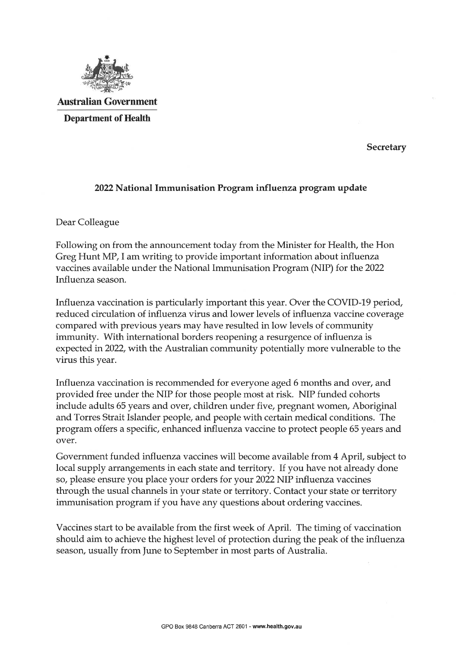

Australian Government Department of Health

**Secretary** 

## 2022 National Immunisation Program influenza program update

Dear Colleague

Following on from the announcement today from the Minister for Health, the Hon Greg Hunt MP, I am writing to provide important information about influenza vaccines available under the National Immunisation Program (NIP) for the 2022 Influenza season.

Influenza vaccination is particularly important this year. Over the COVID-19 period, reduced circulation of influenza virus and lower levels of influenza vaccine coverage compared with previous years may have resulted in low levels of community immunity. With international borders reopening a resurgence of influenza is expected in 2022, with the Australian community potentially more vulnerable to the virus this year.

Influenza vaccination is recommended for everyone aged 6 months and over, and provided free under the NIP for those people most at risk. NIP funded cohorts include adults 65 years and over, children under five, pregnant women, Aboriginal and Torres Strait Islander people, and people with certain medical conditions. The program offers a specific, enhanced influenza vaccine to protect people 65 years and over.

Government funded influenza vaccines will become available from 4 April, subject to local supply arrangements in each state and territory. If you have not already done so/ please ensure you place your orders for your 2022 NIP influenza vaccines through the usual channels in your state or territory. Contact your state or territory immunisation program if you have any questions about ordering vaccines.

Vaccines start to be available from the first week of April. The timing of vaccination should aim to achieve the highest level of protection during the peak of the influenza season, usually from June to September in most parts of Australia.